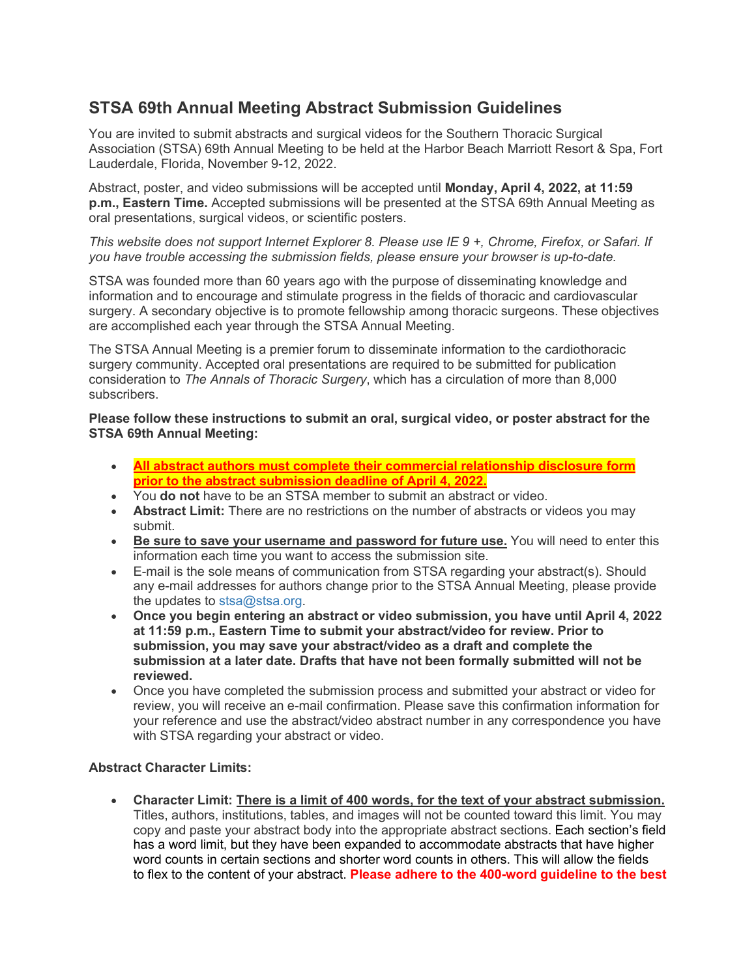# **STSA 69th Annual Meeting Abstract Submission Guidelines**

You are invited to submit abstracts and surgical videos for the Southern Thoracic Surgical Association (STSA) 69th Annual Meeting to be held at the Harbor Beach Marriott Resort & Spa, Fort Lauderdale, Florida, November 9-12, 2022.

Abstract, poster, and video submissions will be accepted until **Monday, April 4, 2022, at 11:59 p.m., Eastern Time.** Accepted submissions will be presented at the STSA 69th Annual Meeting as oral presentations, surgical videos, or scientific posters.

*This website does not support Internet Explorer 8. Please use IE 9 +, Chrome, Firefox, or Safari. If you have trouble accessing the submission fields, please ensure your browser is up-to-date.*

STSA was founded more than 60 years ago with the purpose of disseminating knowledge and information and to encourage and stimulate progress in the fields of thoracic and cardiovascular surgery. A secondary objective is to promote fellowship among thoracic surgeons. These objectives are accomplished each year through the STSA Annual Meeting.

The STSA Annual Meeting is a premier forum to disseminate information to the cardiothoracic surgery community. Accepted oral presentations are required to be submitted for publication consideration to *The Annals of Thoracic Surgery*, which has a circulation of more than 8,000 subscribers.

**Please follow these instructions to submit an oral, surgical video, or poster abstract for the STSA 69th Annual Meeting:**

- **All abstract authors must complete their commercial relationship disclosure form prior to the abstract submission deadline of April 4, 2022.**
- You **do not** have to be an STSA member to submit an abstract or video.
- **Abstract Limit:** There are no restrictions on the number of abstracts or videos you may submit.
- **Be sure to save your username and password for future use.** You will need to enter this information each time you want to access the submission site.
- E-mail is the sole means of communication from STSA regarding your abstract(s). Should any e-mail addresses for authors change prior to the STSA Annual Meeting, please provide the updates to [stsa@stsa.org.](mailto:stsa@stsa.org)
- **Once you begin entering an abstract or video submission, you have until April 4, 2022 at 11:59 p.m., Eastern Time to submit your abstract/video for review. Prior to submission, you may save your abstract/video as a draft and complete the submission at a later date. Drafts that have not been formally submitted will not be reviewed.**
- Once you have completed the submission process and submitted your abstract or video for review, you will receive an e-mail confirmation. Please save this confirmation information for your reference and use the abstract/video abstract number in any correspondence you have with STSA regarding your abstract or video.

## **Abstract Character Limits:**

• **Character Limit: There is a limit of 400 words, for the text of your abstract submission.** Titles, authors, institutions, tables, and images will not be counted toward this limit. You may copy and paste your abstract body into the appropriate abstract sections. Each section's field has a word limit, but they have been expanded to accommodate abstracts that have higher word counts in certain sections and shorter word counts in others. This will allow the fields to flex to the content of your abstract. **Please adhere to the 400-word guideline to the best**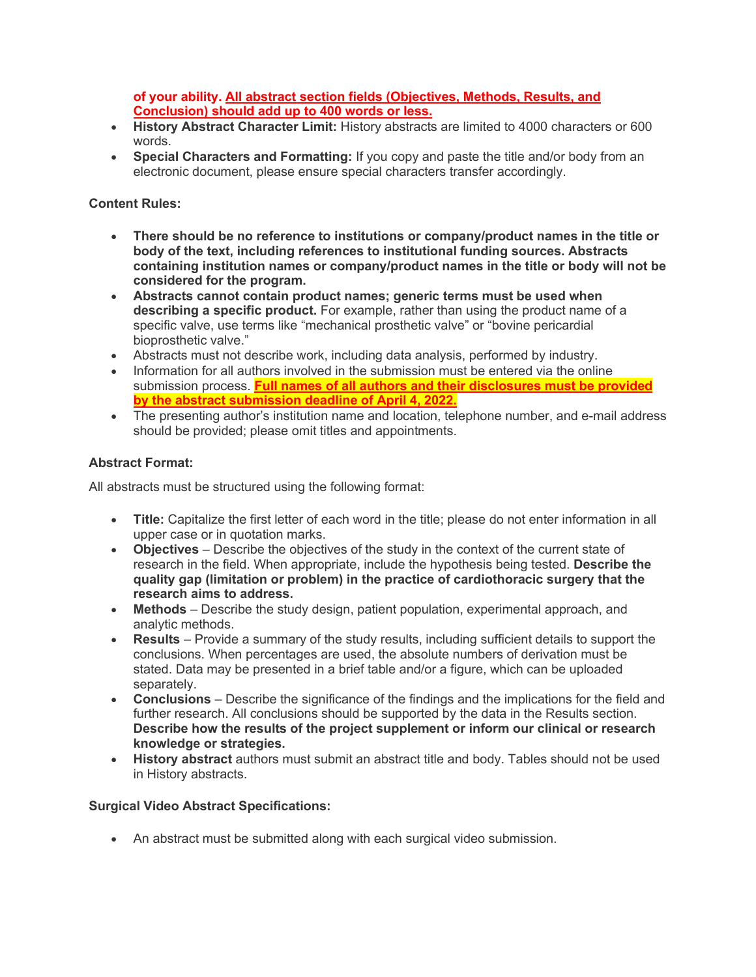**of your ability. All abstract section fields (Objectives, Methods, Results, and Conclusion) should add up to 400 words or less.**

- **History Abstract Character Limit:** History abstracts are limited to 4000 characters or 600 words.
- **Special Characters and Formatting:** If you copy and paste the title and/or body from an electronic document, please ensure special characters transfer accordingly.

# **Content Rules:**

- **There should be no reference to institutions or company/product names in the title or body of the text, including references to institutional funding sources. Abstracts containing institution names or company/product names in the title or body will not be considered for the program.**
- **Abstracts cannot contain product names; generic terms must be used when describing a specific product.** For example, rather than using the product name of a specific valve, use terms like "mechanical prosthetic valve" or "bovine pericardial bioprosthetic valve."
- Abstracts must not describe work, including data analysis, performed by industry.
- Information for all authors involved in the submission must be entered via the online submission process. **Full names of all authors and their disclosures must be provided by the abstract submission deadline of April 4, 2022.**
- The presenting author's institution name and location, telephone number, and e-mail address should be provided; please omit titles and appointments.

## **Abstract Format:**

All abstracts must be structured using the following format:

- **Title:** Capitalize the first letter of each word in the title; please do not enter information in all upper case or in quotation marks.
- **Objectives** Describe the objectives of the study in the context of the current state of research in the field. When appropriate, include the hypothesis being tested. **Describe the quality gap (limitation or problem) in the practice of cardiothoracic surgery that the research aims to address.**
- **Methods** Describe the study design, patient population, experimental approach, and analytic methods.
- **Results** Provide a summary of the study results, including sufficient details to support the conclusions. When percentages are used, the absolute numbers of derivation must be stated. Data may be presented in a brief table and/or a figure, which can be uploaded separately.
- **Conclusions**  Describe the significance of the findings and the implications for the field and further research. All conclusions should be supported by the data in the Results section. **Describe how the results of the project supplement or inform our clinical or research knowledge or strategies.**
- **History abstract** authors must submit an abstract title and body. Tables should not be used in History abstracts.

## **Surgical Video Abstract Specifications:**

• An abstract must be submitted along with each surgical video submission.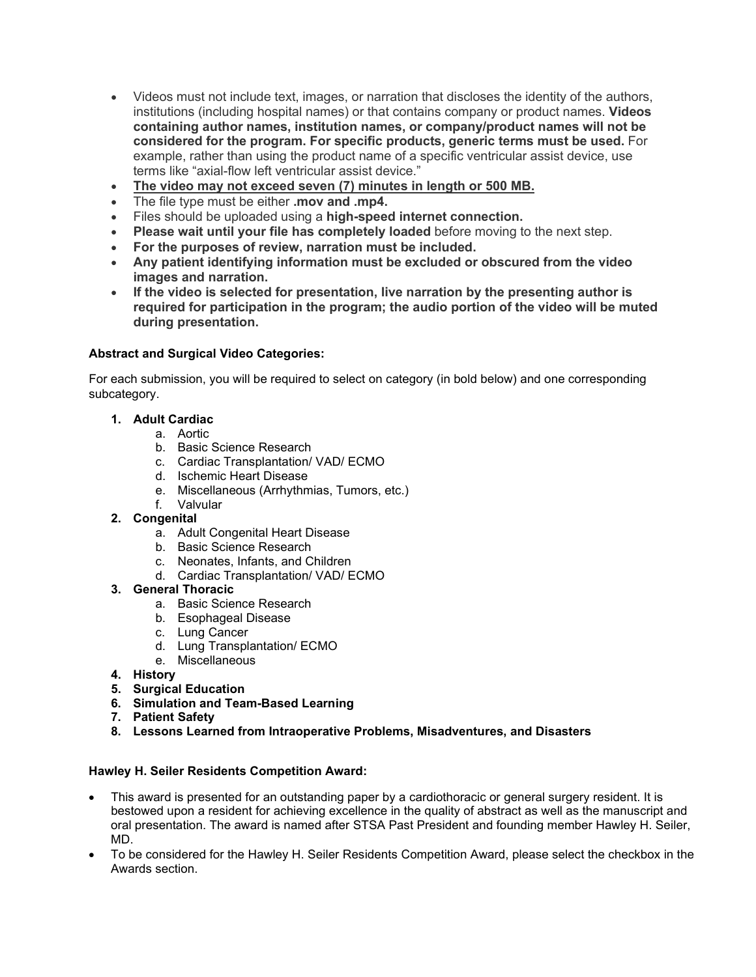- Videos must not include text, images, or narration that discloses the identity of the authors, institutions (including hospital names) or that contains company or product names. **Videos containing author names, institution names, or company/product names will not be considered for the program. For specific products, generic terms must be used.** For example, rather than using the product name of a specific ventricular assist device, use terms like "axial-flow left ventricular assist device."
- **The video may not exceed seven (7) minutes in length or 500 MB.**
- The file type must be either **.mov and .mp4.**
- Files should be uploaded using a **high-speed internet connection.**
- **Please wait until your file has completely loaded** before moving to the next step.
- **For the purposes of review, narration must be included.**
- **Any patient identifying information must be excluded or obscured from the video images and narration.**
- **If the video is selected for presentation, live narration by the presenting author is required for participation in the program; the audio portion of the video will be muted during presentation.**

## **Abstract and Surgical Video Categories:**

For each submission, you will be required to select on category (in bold below) and one corresponding subcategory.

#### **1. Adult Cardiac**

- a. Aortic
- b. Basic Science Research
- c. Cardiac Transplantation/ VAD/ ECMO
- d. Ischemic Heart Disease
- e. Miscellaneous (Arrhythmias, Tumors, etc.)
- f. Valvular

## **2. Congenital**

- a. Adult Congenital Heart Disease
- b. Basic Science Research
- c. Neonates, Infants, and Children
- d. Cardiac Transplantation/ VAD/ ECMO

#### **3. General Thoracic**

- a. Basic Science Research
- b. Esophageal Disease
- c. Lung Cancer
- d. Lung Transplantation/ ECMO
- e. Miscellaneous
- **4. History**
- **5. Surgical Education**
- **6. Simulation and Team-Based Learning**
- **7. Patient Safety**
- **8. Lessons Learned from Intraoperative Problems, Misadventures, and Disasters**

## **Hawley H. Seiler Residents Competition Award:**

- This award is presented for an outstanding paper by a cardiothoracic or general surgery resident. It is bestowed upon a resident for achieving excellence in the quality of abstract as well as the manuscript and oral presentation. The award is named after STSA Past President and founding member Hawley H. Seiler, MD.
- To be considered for the Hawley H. Seiler Residents Competition Award, please select the checkbox in the Awards section.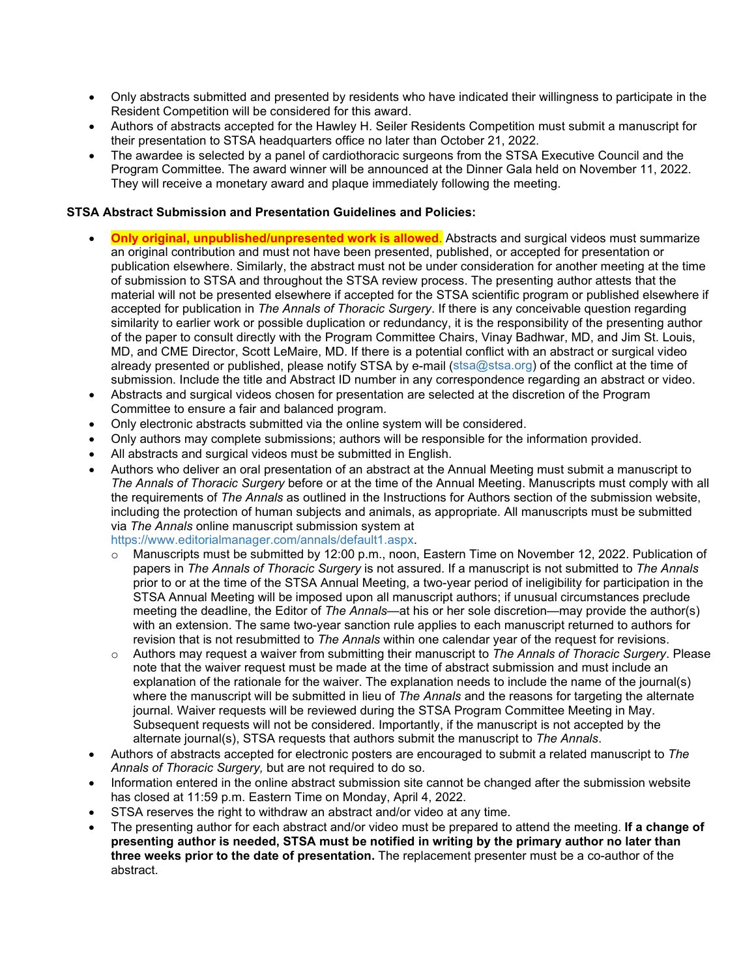- Only abstracts submitted and presented by residents who have indicated their willingness to participate in the Resident Competition will be considered for this award.
- Authors of abstracts accepted for the Hawley H. Seiler Residents Competition must submit a manuscript for their presentation to STSA headquarters office no later than October 21, 2022.
- The awardee is selected by a panel of cardiothoracic surgeons from the STSA Executive Council and the Program Committee. The award winner will be announced at the Dinner Gala held on November 11, 2022. They will receive a monetary award and plaque immediately following the meeting.

#### **STSA Abstract Submission and Presentation Guidelines and Policies:**

- **Only original, unpublished/unpresented work is allowed**. Abstracts and surgical videos must summarize an original contribution and must not have been presented, published, or accepted for presentation or publication elsewhere. Similarly, the abstract must not be under consideration for another meeting at the time of submission to STSA and throughout the STSA review process. The presenting author attests that the material will not be presented elsewhere if accepted for the STSA scientific program or published elsewhere if accepted for publication in *The Annals of Thoracic Surgery*. If there is any conceivable question regarding similarity to earlier work or possible duplication or redundancy, it is the responsibility of the presenting author of the paper to consult directly with the Program Committee Chairs, Vinay Badhwar, MD, and Jim St. Louis, MD, and CME Director, Scott LeMaire, MD. If there is a potential conflict with an abstract or surgical video already presented or published, please notify STSA by e-mail [\(stsa@stsa.org\)](file://sts07/shared$/STSA/2012%20Annual%20Meeting/Abstracts/stsa@stsa.org) of the conflict at the time of submission. Include the title and Abstract ID number in any correspondence regarding an abstract or video.
- Abstracts and surgical videos chosen for presentation are selected at the discretion of the Program Committee to ensure a fair and balanced program.
- Only electronic abstracts submitted via the online system will be considered.
- Only authors may complete submissions; authors will be responsible for the information provided.
- All abstracts and surgical videos must be submitted in English.
- Authors who deliver an oral presentation of an abstract at the Annual Meeting must submit a manuscript to *The Annals of Thoracic Surgery* before or at the time of the Annual Meeting. Manuscripts must comply with all the requirements of *The Annals* as outlined in the Instructions for Authors section of the submission website, including the protection of human subjects and animals, as appropriate. All manuscripts must be submitted via *The Annals* online manuscript submission system at

[https://www.editorialmanager.com/annals/default1.aspx.](https://www.editorialmanager.com/annals/default1.aspx)

- o Manuscripts must be submitted by 12:00 p.m., noon, Eastern Time on November 12, 2022. Publication of papers in *The Annals of Thoracic Surgery* is not assured. If a manuscript is not submitted to *The Annals*  prior to or at the time of the STSA Annual Meeting, a two-year period of ineligibility for participation in the STSA Annual Meeting will be imposed upon all manuscript authors; if unusual circumstances preclude meeting the deadline, the Editor of *The Annals*—at his or her sole discretion—may provide the author(s) with an extension. The same two-year sanction rule applies to each manuscript returned to authors for revision that is not resubmitted to *The Annals* within one calendar year of the request for revisions.
- o Authors may request a waiver from submitting their manuscript to *The Annals of Thoracic Surgery*. Please note that the waiver request must be made at the time of abstract submission and must include an explanation of the rationale for the waiver. The explanation needs to include the name of the journal(s) where the manuscript will be submitted in lieu of *The Annals* and the reasons for targeting the alternate journal. Waiver requests will be reviewed during the STSA Program Committee Meeting in May. Subsequent requests will not be considered. Importantly, if the manuscript is not accepted by the alternate journal(s), STSA requests that authors submit the manuscript to *The Annals*.
- Authors of abstracts accepted for electronic posters are encouraged to submit a related manuscript to *The Annals of Thoracic Surgery,* but are not required to do so.
- Information entered in the online abstract submission site cannot be changed after the submission website has closed at 11:59 p.m. Eastern Time on Monday, April 4, 2022.
- STSA reserves the right to withdraw an abstract and/or video at any time.
- The presenting author for each abstract and/or video must be prepared to attend the meeting. **If a change of presenting author is needed, STSA must be notified in writing by the primary author no later than three weeks prior to the date of presentation.** The replacement presenter must be a co-author of the abstract.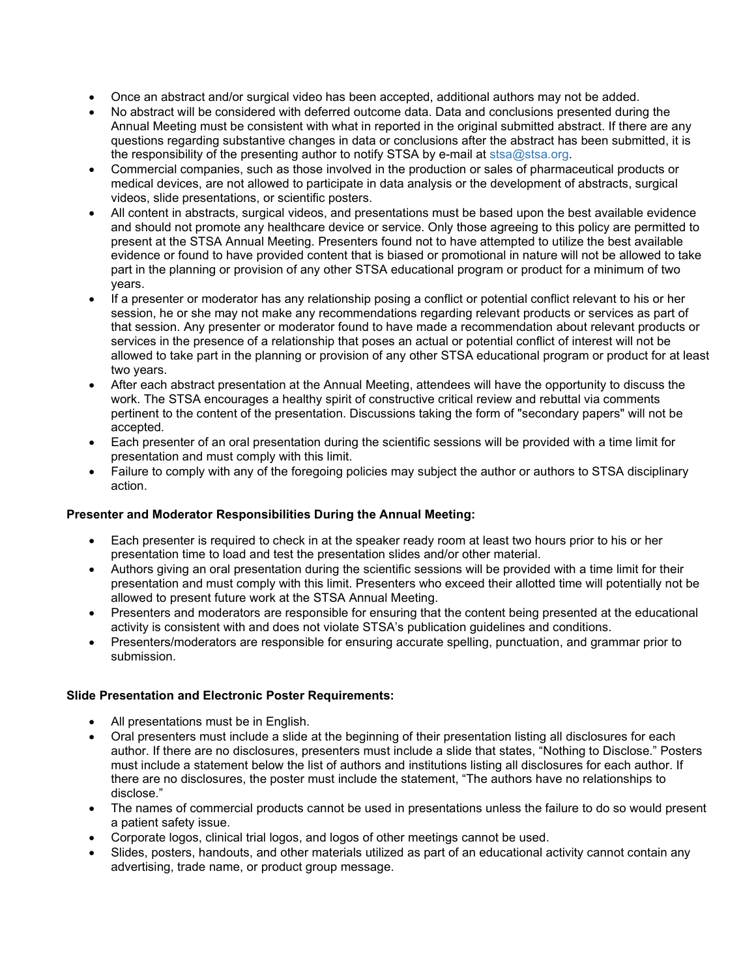- Once an abstract and/or surgical video has been accepted, additional authors may not be added.
- No abstract will be considered with deferred outcome data. Data and conclusions presented during the Annual Meeting must be consistent with what in reported in the original submitted abstract. If there are any questions regarding substantive changes in data or conclusions after the abstract has been submitted, it is the responsibility of the presenting author to notify STSA by e-mail at [stsa@stsa.org.](file://sts07/shared$/STSA/2017%20Annual%20Meeting/Abstracts/Guidelines/stsa@stsa.org)
- Commercial companies, such as those involved in the production or sales of pharmaceutical products or medical devices, are not allowed to participate in data analysis or the development of abstracts, surgical videos, slide presentations, or scientific posters.
- All content in abstracts, surgical videos, and presentations must be based upon the best available evidence and should not promote any healthcare device or service. Only those agreeing to this policy are permitted to present at the STSA Annual Meeting. Presenters found not to have attempted to utilize the best available evidence or found to have provided content that is biased or promotional in nature will not be allowed to take part in the planning or provision of any other STSA educational program or product for a minimum of two years.
- If a presenter or moderator has any relationship posing a conflict or potential conflict relevant to his or her session, he or she may not make any recommendations regarding relevant products or services as part of that session. Any presenter or moderator found to have made a recommendation about relevant products or services in the presence of a relationship that poses an actual or potential conflict of interest will not be allowed to take part in the planning or provision of any other STSA educational program or product for at least two years.
- After each abstract presentation at the Annual Meeting, attendees will have the opportunity to discuss the work. The STSA encourages a healthy spirit of constructive critical review and rebuttal via comments pertinent to the content of the presentation. Discussions taking the form of "secondary papers" will not be accepted.
- Each presenter of an oral presentation during the scientific sessions will be provided with a time limit for presentation and must comply with this limit.
- Failure to comply with any of the foregoing policies may subject the author or authors to STSA disciplinary action.

## **Presenter and Moderator Responsibilities During the Annual Meeting:**

- Each presenter is required to check in at the speaker ready room at least two hours prior to his or her presentation time to load and test the presentation slides and/or other material.
- Authors giving an oral presentation during the scientific sessions will be provided with a time limit for their presentation and must comply with this limit. Presenters who exceed their allotted time will potentially not be allowed to present future work at the STSA Annual Meeting.
- Presenters and moderators are responsible for ensuring that the content being presented at the educational activity is consistent with and does not violate STSA's publication guidelines and conditions.
- Presenters/moderators are responsible for ensuring accurate spelling, punctuation, and grammar prior to submission.

## **Slide Presentation and Electronic Poster Requirements:**

- All presentations must be in English.
- Oral presenters must include a slide at the beginning of their presentation listing all disclosures for each author. If there are no disclosures, presenters must include a slide that states, "Nothing to Disclose." Posters must include a statement below the list of authors and institutions listing all disclosures for each author. If there are no disclosures, the poster must include the statement, "The authors have no relationships to disclose."
- The names of commercial products cannot be used in presentations unless the failure to do so would present a patient safety issue.
- Corporate logos, clinical trial logos, and logos of other meetings cannot be used.
- Slides, posters, handouts, and other materials utilized as part of an educational activity cannot contain any advertising, trade name, or product group message.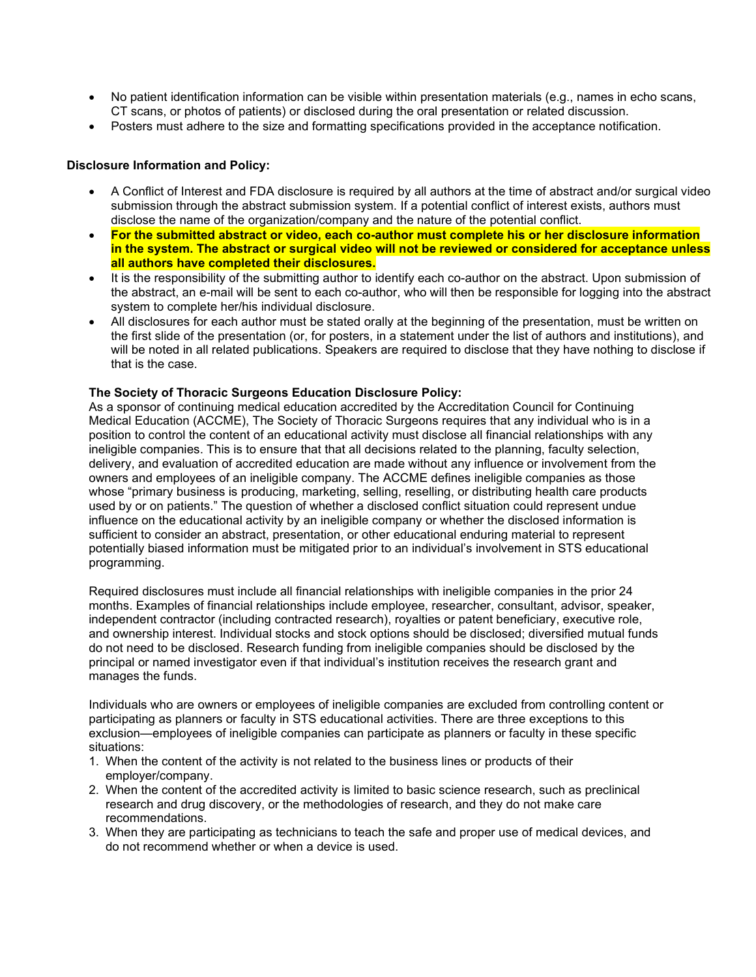- No patient identification information can be visible within presentation materials (e.g., names in echo scans, CT scans, or photos of patients) or disclosed during the oral presentation or related discussion.
- Posters must adhere to the size and formatting specifications provided in the acceptance notification.

#### **Disclosure Information and Policy:**

- A Conflict of Interest and FDA disclosure is required by all authors at the time of abstract and/or surgical video submission through the abstract submission system. If a potential conflict of interest exists, authors must disclose the name of the organization/company and the nature of the potential conflict.
- **For the submitted abstract or video, each co-author must complete his or her disclosure information in the system. The abstract or surgical video will not be reviewed or considered for acceptance unless all authors have completed their disclosures.**
- It is the responsibility of the submitting author to identify each co-author on the abstract. Upon submission of the abstract, an e-mail will be sent to each co-author, who will then be responsible for logging into the abstract system to complete her/his individual disclosure.
- All disclosures for each author must be stated orally at the beginning of the presentation, must be written on the first slide of the presentation (or, for posters, in a statement under the list of authors and institutions), and will be noted in all related publications. Speakers are required to disclose that they have nothing to disclose if that is the case.

#### **The Society of Thoracic Surgeons Education Disclosure Policy:**

As a sponsor of continuing medical education accredited by the Accreditation Council for Continuing Medical Education (ACCME), The Society of Thoracic Surgeons requires that any individual who is in a position to control the content of an educational activity must disclose all financial relationships with any ineligible companies. This is to ensure that that all decisions related to the planning, faculty selection, delivery, and evaluation of accredited education are made without any influence or involvement from the owners and employees of an ineligible company. The ACCME defines ineligible companies as those whose "primary business is producing, marketing, selling, reselling, or distributing health care products used by or on patients." The question of whether a disclosed conflict situation could represent undue influence on the educational activity by an ineligible company or whether the disclosed information is sufficient to consider an abstract, presentation, or other educational enduring material to represent potentially biased information must be mitigated prior to an individual's involvement in STS educational programming.

Required disclosures must include all financial relationships with ineligible companies in the prior 24 months. Examples of financial relationships include employee, researcher, consultant, advisor, speaker, independent contractor (including contracted research), royalties or patent beneficiary, executive role, and ownership interest. Individual stocks and stock options should be disclosed; diversified mutual funds do not need to be disclosed. Research funding from ineligible companies should be disclosed by the principal or named investigator even if that individual's institution receives the research grant and manages the funds.

Individuals who are owners or employees of ineligible companies are excluded from controlling content or participating as planners or faculty in STS educational activities. There are three exceptions to this exclusion—employees of ineligible companies can participate as planners or faculty in these specific situations:

- 1. When the content of the activity is not related to the business lines or products of their employer/company.
- 2. When the content of the accredited activity is limited to basic science research, such as preclinical research and drug discovery, or the methodologies of research, and they do not make care recommendations.
- 3. When they are participating as technicians to teach the safe and proper use of medical devices, and do not recommend whether or when a device is used.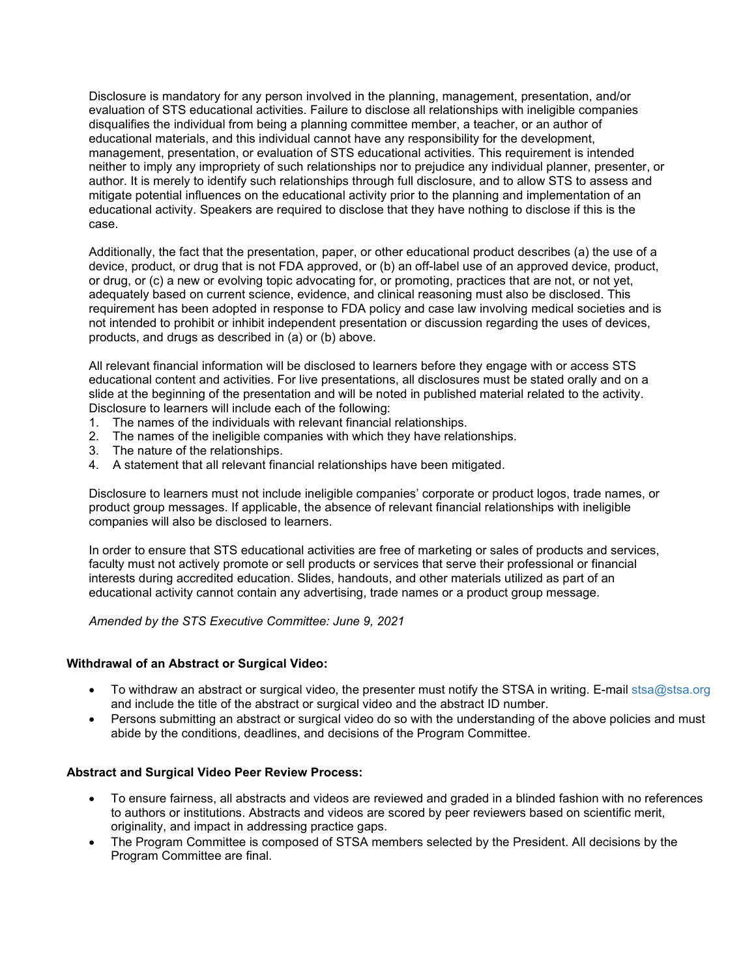Disclosure is mandatory for any person involved in the planning, management, presentation, and/or evaluation of STS educational activities. Failure to disclose all relationships with ineligible companies disqualifies the individual from being a planning committee member, a teacher, or an author of educational materials, and this individual cannot have any responsibility for the development, management, presentation, or evaluation of STS educational activities. This requirement is intended neither to imply any impropriety of such relationships nor to prejudice any individual planner, presenter, or author. It is merely to identify such relationships through full disclosure, and to allow STS to assess and mitigate potential influences on the educational activity prior to the planning and implementation of an educational activity. Speakers are required to disclose that they have nothing to disclose if this is the case.

Additionally, the fact that the presentation, paper, or other educational product describes (a) the use of a device, product, or drug that is not FDA approved, or (b) an off-label use of an approved device, product, or drug, or (c) a new or evolving topic advocating for, or promoting, practices that are not, or not yet, adequately based on current science, evidence, and clinical reasoning must also be disclosed. This requirement has been adopted in response to FDA policy and case law involving medical societies and is not intended to prohibit or inhibit independent presentation or discussion regarding the uses of devices, products, and drugs as described in (a) or (b) above.

All relevant financial information will be disclosed to learners before they engage with or access STS educational content and activities. For live presentations, all disclosures must be stated orally and on a slide at the beginning of the presentation and will be noted in published material related to the activity. Disclosure to learners will include each of the following:

- 1. The names of the individuals with relevant financial relationships.
- 2. The names of the ineligible companies with which they have relationships.
- 3. The nature of the relationships.
- 4. A statement that all relevant financial relationships have been mitigated.

Disclosure to learners must not include ineligible companies' corporate or product logos, trade names, or product group messages. If applicable, the absence of relevant financial relationships with ineligible companies will also be disclosed to learners.

In order to ensure that STS educational activities are free of marketing or sales of products and services, faculty must not actively promote or sell products or services that serve their professional or financial interests during accredited education. Slides, handouts, and other materials utilized as part of an educational activity cannot contain any advertising, trade names or a product group message.

*Amended by the STS Executive Committee: June 9, 2021*

#### **Withdrawal of an Abstract or Surgical Video:**

- To withdraw an abstract or surgical video, the presenter must notify the STSA in writing. E-mail [stsa@stsa.org](file://sts07/shared$/STSA/2012%20Annual%20Meeting/Abstracts/stsa@stsa.org) and include the title of the abstract or surgical video and the abstract ID number.
- Persons submitting an abstract or surgical video do so with the understanding of the above policies and must abide by the conditions, deadlines, and decisions of the Program Committee.

#### **Abstract and Surgical Video Peer Review Process:**

- To ensure fairness, all abstracts and videos are reviewed and graded in a blinded fashion with no references to authors or institutions. Abstracts and videos are scored by peer reviewers based on scientific merit, originality, and impact in addressing practice gaps.
- The Program Committee is composed of STSA members selected by the President. All decisions by the Program Committee are final.